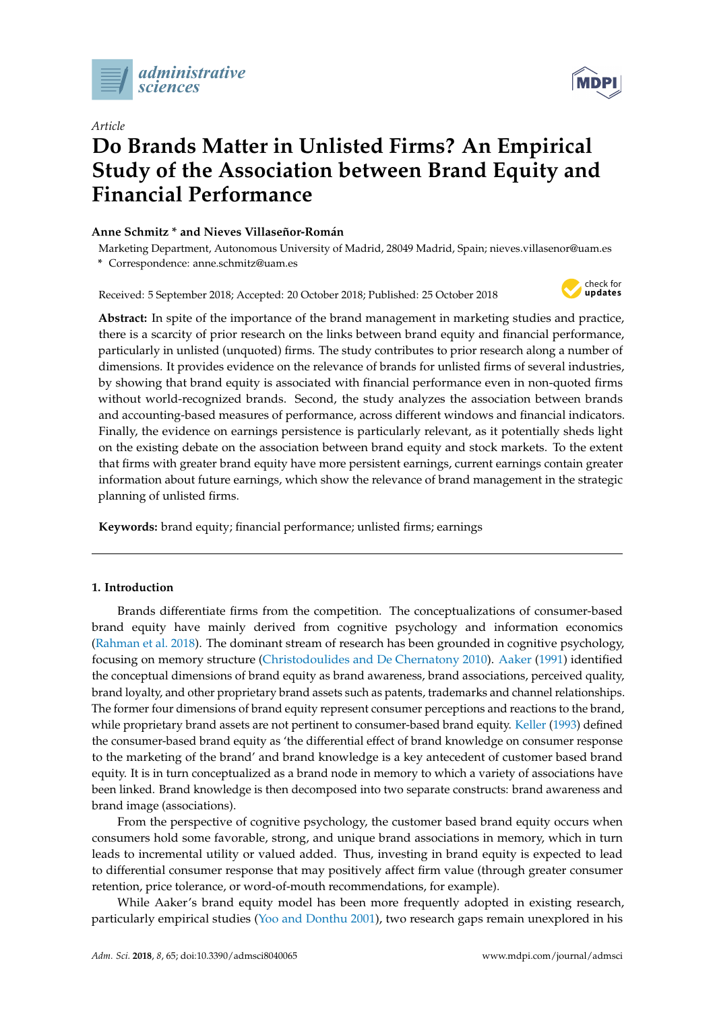

*Article*

# **Do Brands Matter in Unlisted Firms? An Empirical Study of the Association between Brand Equity and Financial Performance**

# **Anne Schmitz \* and Nieves Villaseñor-Román**

Marketing Department, Autonomous University of Madrid, 28049 Madrid, Spain; nieves.villasenor@uam.es

**\*** Correspondence: anne.schmitz@uam.es

Received: 5 September 2018; Accepted: 20 October 2018; Published: 25 October 2018



**Abstract:** In spite of the importance of the brand management in marketing studies and practice, there is a scarcity of prior research on the links between brand equity and financial performance, particularly in unlisted (unquoted) firms. The study contributes to prior research along a number of dimensions. It provides evidence on the relevance of brands for unlisted firms of several industries, by showing that brand equity is associated with financial performance even in non-quoted firms without world-recognized brands. Second, the study analyzes the association between brands and accounting-based measures of performance, across different windows and financial indicators. Finally, the evidence on earnings persistence is particularly relevant, as it potentially sheds light on the existing debate on the association between brand equity and stock markets. To the extent that firms with greater brand equity have more persistent earnings, current earnings contain greater information about future earnings, which show the relevance of brand management in the strategic planning of unlisted firms.

**Keywords:** brand equity; financial performance; unlisted firms; earnings

# **1. Introduction**

Brands differentiate firms from the competition. The conceptualizations of consumer-based brand equity have mainly derived from cognitive psychology and information economics [\(Rahman et al.](#page-11-0) [2018\)](#page-11-0). The dominant stream of research has been grounded in cognitive psychology, focusing on memory structure [\(Christodoulides and De Chernatony](#page-10-0) [2010\)](#page-10-0). [Aaker](#page-10-1) [\(1991\)](#page-10-1) identified the conceptual dimensions of brand equity as brand awareness, brand associations, perceived quality, brand loyalty, and other proprietary brand assets such as patents, trademarks and channel relationships. The former four dimensions of brand equity represent consumer perceptions and reactions to the brand, while proprietary brand assets are not pertinent to consumer-based brand equity. [Keller](#page-10-2) [\(1993\)](#page-10-2) defined the consumer-based brand equity as 'the differential effect of brand knowledge on consumer response to the marketing of the brand' and brand knowledge is a key antecedent of customer based brand equity. It is in turn conceptualized as a brand node in memory to which a variety of associations have been linked. Brand knowledge is then decomposed into two separate constructs: brand awareness and brand image (associations).

From the perspective of cognitive psychology, the customer based brand equity occurs when consumers hold some favorable, strong, and unique brand associations in memory, which in turn leads to incremental utility or valued added. Thus, investing in brand equity is expected to lead to differential consumer response that may positively affect firm value (through greater consumer retention, price tolerance, or word-of-mouth recommendations, for example).

While Aaker's brand equity model has been more frequently adopted in existing research, particularly empirical studies [\(Yoo and Donthu](#page-11-1) [2001\)](#page-11-1), two research gaps remain unexplored in his

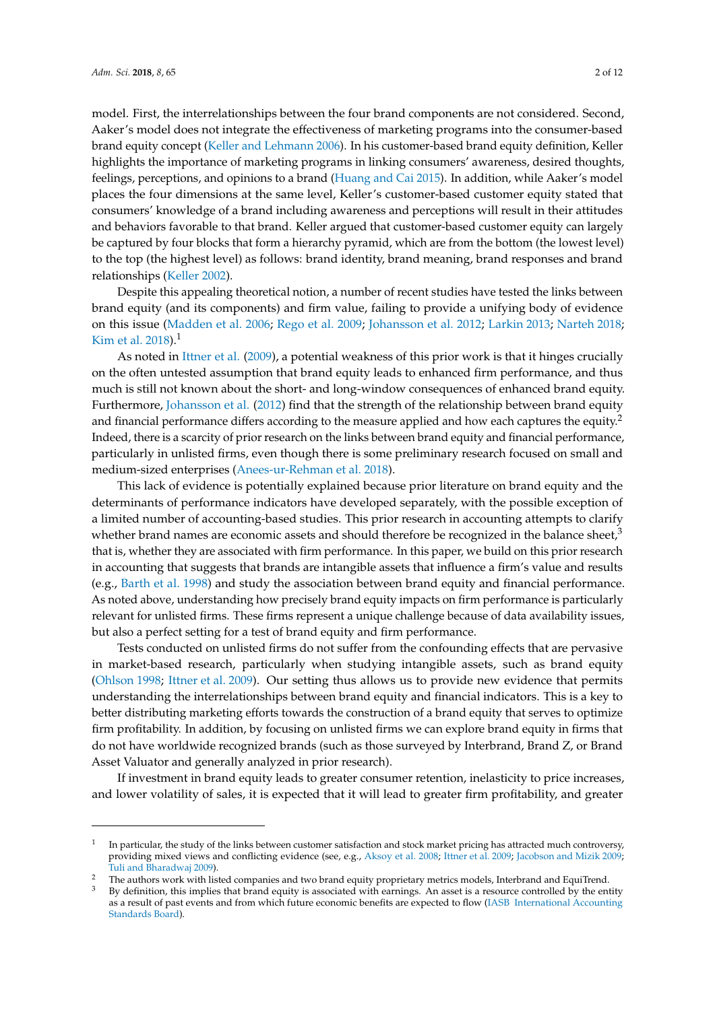model. First, the interrelationships between the four brand components are not considered. Second, Aaker's model does not integrate the effectiveness of marketing programs into the consumer-based brand equity concept [\(Keller and Lehmann](#page-11-2) [2006\)](#page-11-2). In his customer-based brand equity definition, Keller highlights the importance of marketing programs in linking consumers' awareness, desired thoughts, feelings, perceptions, and opinions to a brand [\(Huang and Cai](#page-10-3) [2015\)](#page-10-3). In addition, while Aaker's model places the four dimensions at the same level, Keller's customer-based customer equity stated that consumers' knowledge of a brand including awareness and perceptions will result in their attitudes and behaviors favorable to that brand. Keller argued that customer-based customer equity can largely be captured by four blocks that form a hierarchy pyramid, which are from the bottom (the lowest level) to the top (the highest level) as follows: brand identity, brand meaning, brand responses and brand relationships [\(Keller](#page-10-4) [2002\)](#page-10-4).

Despite this appealing theoretical notion, a number of recent studies have tested the links between brand equity (and its components) and firm value, failing to provide a unifying body of evidence on this issue [\(Madden et al.](#page-11-3) [2006;](#page-11-3) [Rego et al.](#page-11-4) [2009;](#page-11-4) [Johansson et al.](#page-10-5) [2012;](#page-10-5) [Larkin](#page-11-5) [2013;](#page-11-5) [Narteh](#page-11-6) [2018;](#page-11-6) [Kim et al.](#page-11-7)  $2018$ ).<sup>1</sup>

As noted in [Ittner et al.](#page-10-6) [\(2009\)](#page-10-6), a potential weakness of this prior work is that it hinges crucially on the often untested assumption that brand equity leads to enhanced firm performance, and thus much is still not known about the short- and long-window consequences of enhanced brand equity. Furthermore, [Johansson et al.](#page-10-5) [\(2012\)](#page-10-5) find that the strength of the relationship between brand equity and financial performance differs according to the measure applied and how each captures the equity.<sup>2</sup> Indeed, there is a scarcity of prior research on the links between brand equity and financial performance, particularly in unlisted firms, even though there is some preliminary research focused on small and medium-sized enterprises [\(Anees-ur-Rehman et al.](#page-10-7) [2018\)](#page-10-7).

This lack of evidence is potentially explained because prior literature on brand equity and the determinants of performance indicators have developed separately, with the possible exception of a limited number of accounting-based studies. This prior research in accounting attempts to clarify whether brand names are economic assets and should therefore be recognized in the balance sheet, $3$ that is, whether they are associated with firm performance. In this paper, we build on this prior research in accounting that suggests that brands are intangible assets that influence a firm's value and results (e.g., [Barth et al.](#page-10-8) [1998\)](#page-10-8) and study the association between brand equity and financial performance. As noted above, understanding how precisely brand equity impacts on firm performance is particularly relevant for unlisted firms. These firms represent a unique challenge because of data availability issues, but also a perfect setting for a test of brand equity and firm performance.

Tests conducted on unlisted firms do not suffer from the confounding effects that are pervasive in market-based research, particularly when studying intangible assets, such as brand equity [\(Ohlson](#page-11-8) [1998;](#page-11-8) [Ittner et al.](#page-10-6) [2009\)](#page-10-6). Our setting thus allows us to provide new evidence that permits understanding the interrelationships between brand equity and financial indicators. This is a key to better distributing marketing efforts towards the construction of a brand equity that serves to optimize firm profitability. In addition, by focusing on unlisted firms we can explore brand equity in firms that do not have worldwide recognized brands (such as those surveyed by Interbrand, Brand Z, or Brand Asset Valuator and generally analyzed in prior research).

If investment in brand equity leads to greater consumer retention, inelasticity to price increases, and lower volatility of sales, it is expected that it will lead to greater firm profitability, and greater

<sup>1</sup> In particular, the study of the links between customer satisfaction and stock market pricing has attracted much controversy, providing mixed views and conflicting evidence (see, e.g., [Aksoy et al.](#page-10-9) [2008;](#page-10-9) [Ittner et al.](#page-10-6) [2009;](#page-10-6) [Jacobson and Mizik](#page-10-10) [2009;](#page-10-10) [Tuli and Bharadwaj](#page-11-9) [2009\)](#page-11-9).

<sup>2</sup> The authors work with listed companies and two brand equity proprietary metrics models, Interbrand and EquiTrend.

<sup>3</sup> By definition, this implies that brand equity is associated with earnings. An asset is a resource controlled by the entity as a result of past events and from which future economic benefits are expected to flow [\(IASB](#page-10-11) [International Accounting](#page-10-11) [Standards Board\)](#page-10-11).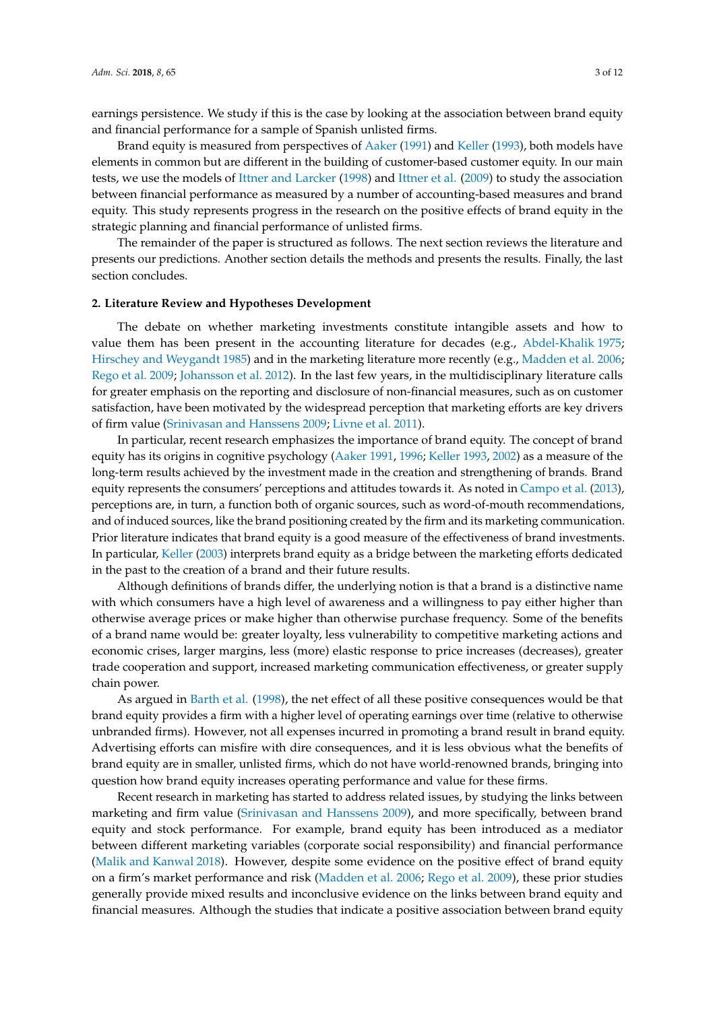earnings persistence. We study if this is the case by looking at the association between brand equity and financial performance for a sample of Spanish unlisted firms.

Brand equity is measured from perspectives of [Aaker](#page-10-1) [\(1991\)](#page-10-1) and [Keller](#page-10-2) [\(1993\)](#page-10-2), both models have elements in common but are different in the building of customer-based customer equity. In our main tests, we use the models of [Ittner and Larcker](#page-10-12) [\(1998\)](#page-10-12) and [Ittner et al.](#page-10-6) [\(2009\)](#page-10-6) to study the association between financial performance as measured by a number of accounting-based measures and brand equity. This study represents progress in the research on the positive effects of brand equity in the strategic planning and financial performance of unlisted firms.

The remainder of the paper is structured as follows. The next section reviews the literature and presents our predictions. Another section details the methods and presents the results. Finally, the last section concludes.

## **2. Literature Review and Hypotheses Development**

The debate on whether marketing investments constitute intangible assets and how to value them has been present in the accounting literature for decades (e.g., [Abdel-Khalik](#page-10-13) [1975;](#page-10-13) [Hirschey and Weygandt](#page-10-14) [1985\)](#page-10-14) and in the marketing literature more recently (e.g., [Madden et al.](#page-11-3) [2006;](#page-11-3) [Rego et al.](#page-11-4) [2009;](#page-11-4) [Johansson et al.](#page-10-5) [2012\)](#page-10-5). In the last few years, in the multidisciplinary literature calls for greater emphasis on the reporting and disclosure of non-financial measures, such as on customer satisfaction, have been motivated by the widespread perception that marketing efforts are key drivers of firm value [\(Srinivasan and Hanssens](#page-11-10) [2009;](#page-11-10) [Livne et al.](#page-11-11) [2011\)](#page-11-11).

In particular, recent research emphasizes the importance of brand equity. The concept of brand equity has its origins in cognitive psychology [\(Aaker](#page-10-1) [1991,](#page-10-1) [1996;](#page-10-15) [Keller](#page-10-2) [1993,](#page-10-2) [2002\)](#page-11-12) as a measure of the long-term results achieved by the investment made in the creation and strengthening of brands. Brand equity represents the consumers' perceptions and attitudes towards it. As noted in [Campo et al.](#page-10-16) [\(2013\)](#page-10-16), perceptions are, in turn, a function both of organic sources, such as word-of-mouth recommendations, and of induced sources, like the brand positioning created by the firm and its marketing communication. Prior literature indicates that brand equity is a good measure of the effectiveness of brand investments. In particular, [Keller](#page-11-13) [\(2003\)](#page-11-13) interprets brand equity as a bridge between the marketing efforts dedicated in the past to the creation of a brand and their future results.

Although definitions of brands differ, the underlying notion is that a brand is a distinctive name with which consumers have a high level of awareness and a willingness to pay either higher than otherwise average prices or make higher than otherwise purchase frequency. Some of the benefits of a brand name would be: greater loyalty, less vulnerability to competitive marketing actions and economic crises, larger margins, less (more) elastic response to price increases (decreases), greater trade cooperation and support, increased marketing communication effectiveness, or greater supply chain power.

As argued in [Barth et al.](#page-10-8) [\(1998\)](#page-10-8), the net effect of all these positive consequences would be that brand equity provides a firm with a higher level of operating earnings over time (relative to otherwise unbranded firms). However, not all expenses incurred in promoting a brand result in brand equity. Advertising efforts can misfire with dire consequences, and it is less obvious what the benefits of brand equity are in smaller, unlisted firms, which do not have world-renowned brands, bringing into question how brand equity increases operating performance and value for these firms.

Recent research in marketing has started to address related issues, by studying the links between marketing and firm value [\(Srinivasan and Hanssens](#page-11-10) [2009\)](#page-11-10), and more specifically, between brand equity and stock performance. For example, brand equity has been introduced as a mediator between different marketing variables (corporate social responsibility) and financial performance [\(Malik and Kanwal](#page-11-14) [2018\)](#page-11-14). However, despite some evidence on the positive effect of brand equity on a firm's market performance and risk [\(Madden et al.](#page-11-3) [2006;](#page-11-3) [Rego et al.](#page-11-4) [2009\)](#page-11-4), these prior studies generally provide mixed results and inconclusive evidence on the links between brand equity and financial measures. Although the studies that indicate a positive association between brand equity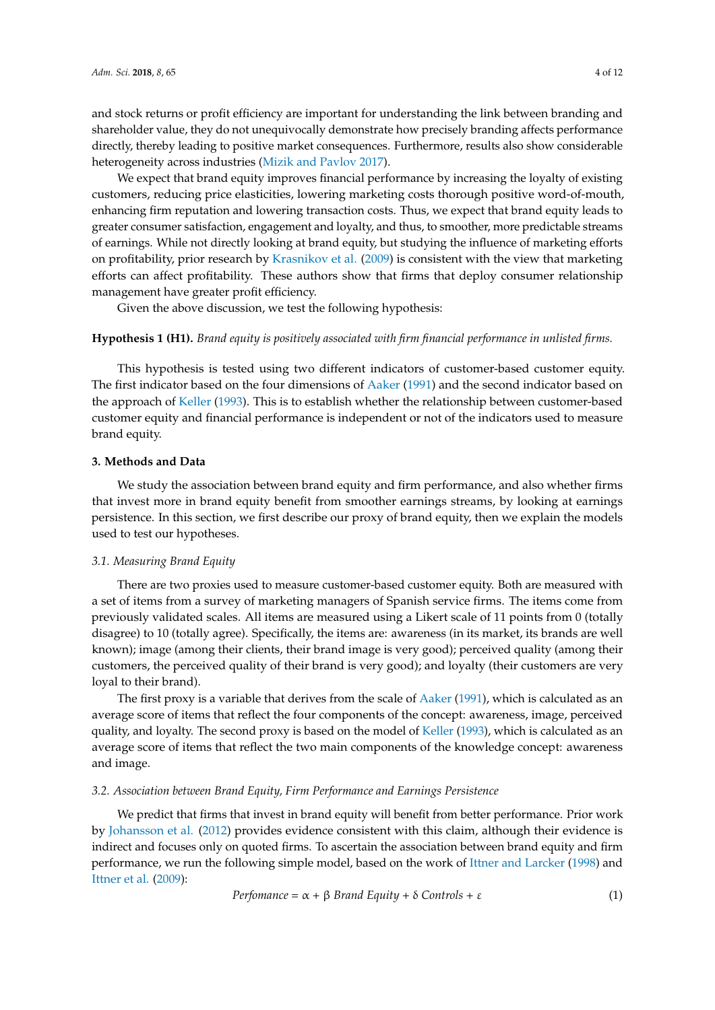and stock returns or profit efficiency are important for understanding the link between branding and shareholder value, they do not unequivocally demonstrate how precisely branding affects performance directly, thereby leading to positive market consequences. Furthermore, results also show considerable heterogeneity across industries [\(Mizik and Pavlov](#page-11-15) [2017\)](#page-11-15).

We expect that brand equity improves financial performance by increasing the loyalty of existing customers, reducing price elasticities, lowering marketing costs thorough positive word-of-mouth, enhancing firm reputation and lowering transaction costs. Thus, we expect that brand equity leads to greater consumer satisfaction, engagement and loyalty, and thus, to smoother, more predictable streams of earnings. While not directly looking at brand equity, but studying the influence of marketing efforts on profitability, prior research by [Krasnikov et al.](#page-11-16) [\(2009\)](#page-11-16) is consistent with the view that marketing efforts can affect profitability. These authors show that firms that deploy consumer relationship management have greater profit efficiency.

Given the above discussion, we test the following hypothesis:

### **Hypothesis 1 (H1).** *Brand equity is positively associated with firm financial performance in unlisted firms.*

This hypothesis is tested using two different indicators of customer-based customer equity. The first indicator based on the four dimensions of [Aaker](#page-10-1) [\(1991\)](#page-10-1) and the second indicator based on the approach of [Keller](#page-10-2) [\(1993\)](#page-10-2). This is to establish whether the relationship between customer-based customer equity and financial performance is independent or not of the indicators used to measure brand equity.

## **3. Methods and Data**

We study the association between brand equity and firm performance, and also whether firms that invest more in brand equity benefit from smoother earnings streams, by looking at earnings persistence. In this section, we first describe our proxy of brand equity, then we explain the models used to test our hypotheses.

### *3.1. Measuring Brand Equity*

There are two proxies used to measure customer-based customer equity. Both are measured with a set of items from a survey of marketing managers of Spanish service firms. The items come from previously validated scales. All items are measured using a Likert scale of 11 points from 0 (totally disagree) to 10 (totally agree). Specifically, the items are: awareness (in its market, its brands are well known); image (among their clients, their brand image is very good); perceived quality (among their customers, the perceived quality of their brand is very good); and loyalty (their customers are very loyal to their brand).

The first proxy is a variable that derives from the scale of [Aaker](#page-10-1) [\(1991\)](#page-10-1), which is calculated as an average score of items that reflect the four components of the concept: awareness, image, perceived quality, and loyalty. The second proxy is based on the model of [Keller](#page-10-2) [\(1993\)](#page-10-2), which is calculated as an average score of items that reflect the two main components of the knowledge concept: awareness and image.

#### *3.2. Association between Brand Equity, Firm Performance and Earnings Persistence*

We predict that firms that invest in brand equity will benefit from better performance. Prior work by [Johansson et al.](#page-10-5) [\(2012\)](#page-10-5) provides evidence consistent with this claim, although their evidence is indirect and focuses only on quoted firms. To ascertain the association between brand equity and firm performance, we run the following simple model, based on the work of [Ittner and Larcker](#page-10-12) [\(1998\)](#page-10-12) and [Ittner et al.](#page-10-6) [\(2009\)](#page-10-6):

$$
Performance = \alpha + \beta \ Brand \ Equity + \delta \ Contents + \varepsilon \tag{1}
$$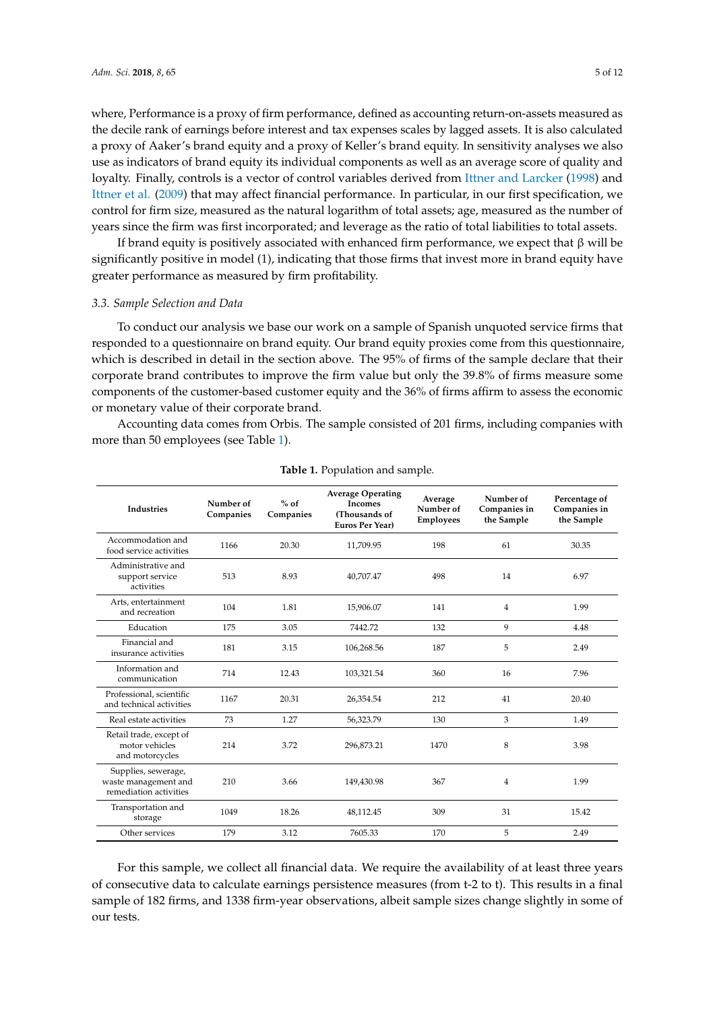where, Performance is a proxy of firm performance, defined as accounting return-on-assets measured as the decile rank of earnings before interest and tax expenses scales by lagged assets. It is also calculated a proxy of Aaker's brand equity and a proxy of Keller's brand equity. In sensitivity analyses we also use as indicators of brand equity its individual components as well as an average score of quality and loyalty. Finally, controls is a vector of control variables derived from [Ittner and Larcker](#page-10-12) [\(1998\)](#page-10-12) and [Ittner et al.](#page-10-6) [\(2009\)](#page-10-6) that may affect financial performance. In particular, in our first specification, we control for firm size, measured as the natural logarithm of total assets; age, measured as the number of years since the firm was first incorporated; and leverage as the ratio of total liabilities to total assets.

If brand equity is positively associated with enhanced firm performance, we expect that β will be significantly positive in model (1), indicating that those firms that invest more in brand equity have greater performance as measured by firm profitability.

## *3.3. Sample Selection and Data*

To conduct our analysis we base our work on a sample of Spanish unquoted service firms that responded to a questionnaire on brand equity. Our brand equity proxies come from this questionnaire, which is described in detail in the section above. The 95% of firms of the sample declare that their corporate brand contributes to improve the firm value but only the 39.8% of firms measure some components of the customer-based customer equity and the 36% of firms affirm to assess the economic or monetary value of their corporate brand.

Accounting data comes from Orbis. The sample consisted of 201 firms, including companies with more than 50 employees (see Table [1\)](#page-4-0).

<span id="page-4-0"></span>

| <b>Industries</b>                                                     | Number of<br>Companies | $%$ of<br>Companies | <b>Average Operating</b><br><b>Incomes</b><br>(Thousands of<br>Euros Per Year) | Average<br>Number of<br><b>Employees</b> | Number of<br>Companies in<br>the Sample | Percentage of<br>Companies in<br>the Sample |
|-----------------------------------------------------------------------|------------------------|---------------------|--------------------------------------------------------------------------------|------------------------------------------|-----------------------------------------|---------------------------------------------|
| Accommodation and<br>food service activities                          | 1166                   | 20.30               | 11,709.95                                                                      | 198                                      | 61                                      | 30.35                                       |
| Administrative and<br>support service<br>activities                   | 513                    | 8.93                | 40,707.47                                                                      | 498                                      | 14                                      | 6.97                                        |
| Arts, entertainment<br>and recreation                                 | 104                    | 1.81                | 15,906.07                                                                      | 141                                      | $\overline{4}$                          | 1.99                                        |
| Education                                                             | 175                    | 3.05                | 7442.72                                                                        | 132                                      | 9                                       | 4.48                                        |
| Financial and<br>insurance activities                                 | 181                    | 3.15                | 106,268.56                                                                     | 187                                      | 5                                       | 2.49                                        |
| Information and<br>communication                                      | 714                    | 12.43               | 103,321.54                                                                     | 360                                      | 16                                      | 7.96                                        |
| Professional, scientific<br>and technical activities                  | 1167                   | 20.31               | 26,354.54                                                                      | 212                                      | 41                                      | 20.40                                       |
| Real estate activities                                                | 73                     | 1.27                | 56,323.79                                                                      | 130                                      | 3                                       | 1.49                                        |
| Retail trade, except of<br>motor vehicles<br>and motorcycles          | 214                    | 3.72                | 296,873.21                                                                     | 1470                                     | 8                                       | 3.98                                        |
| Supplies, sewerage,<br>waste management and<br>remediation activities | 210                    | 3.66                | 149,430.98                                                                     | 367                                      | 4                                       | 1.99                                        |
| Transportation and<br>storage                                         | 1049                   | 18.26               | 48,112.45                                                                      | 309                                      | 31                                      | 15.42                                       |
| Other services                                                        | 179                    | 3.12                | 7605.33                                                                        | 170                                      | 5                                       | 2.49                                        |

**Table 1.** Population and sample.

For this sample, we collect all financial data. We require the availability of at least three years of consecutive data to calculate earnings persistence measures (from t-2 to t). This results in a final sample of 182 firms, and 1338 firm-year observations, albeit sample sizes change slightly in some of our tests.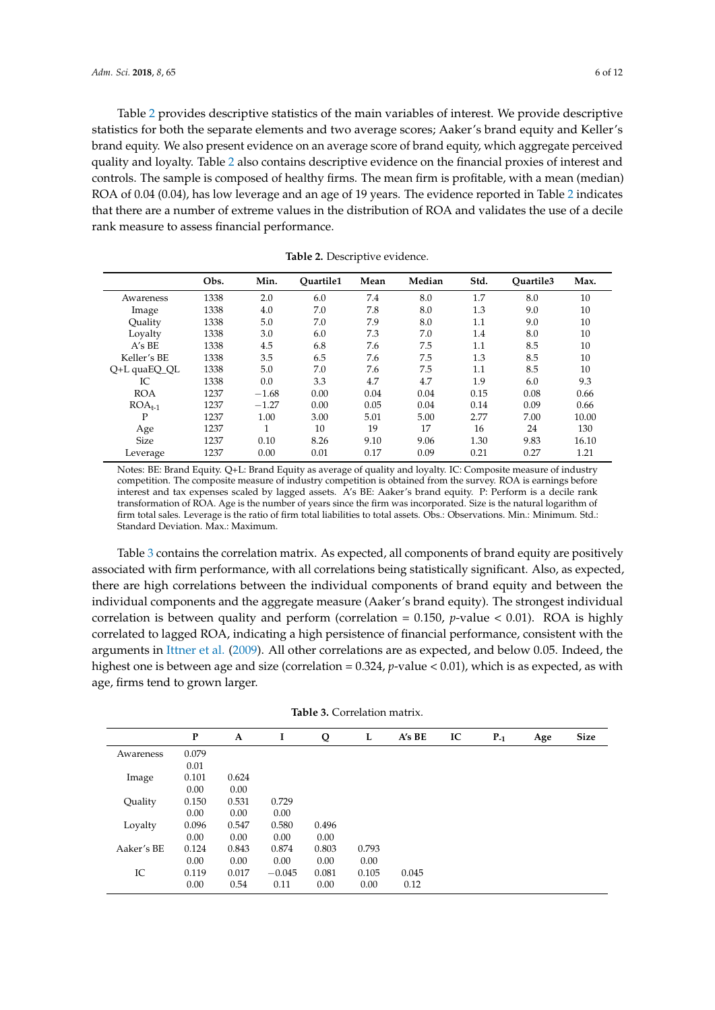Table [2](#page-5-0) provides descriptive statistics of the main variables of interest. We provide descriptive statistics for both the separate elements and two average scores; Aaker's brand equity and Keller's brand equity. We also present evidence on an average score of brand equity, which aggregate perceived quality and loyalty. Table [2](#page-5-0) also contains descriptive evidence on the financial proxies of interest and controls. The sample is composed of healthy firms. The mean firm is profitable, with a mean (median) ROA of 0.04 (0.04), has low leverage and an age of 19 years. The evidence reported in Table [2](#page-5-0) indicates that there are a number of extreme values in the distribution of ROA and validates the use of a decile rank measure to assess financial performance.

<span id="page-5-0"></span>

|              | Obs. | Min.    | Ouartile1 | Mean | Median | Std. | Ouartile3 | Max.  |
|--------------|------|---------|-----------|------|--------|------|-----------|-------|
| Awareness    | 1338 | 2.0     | 6.0       | 7.4  | 8.0    | 1.7  | 8.0       | 10    |
| Image        | 1338 | 4.0     | 7.0       | 7.8  | 8.0    | 1.3  | 9.0       | 10    |
| Ouality      | 1338 | 5.0     | 7.0       | 7.9  | 8.0    | 1.1  | 9.0       | 10    |
| Loyalty      | 1338 | 3.0     | 6.0       | 7.3  | 7.0    | 1.4  | 8.0       | 10    |
| A's BE       | 1338 | 4.5     | 6.8       | 7.6  | 7.5    | 1.1  | 8.5       | 10    |
| Keller's BE  | 1338 | 3.5     | 6.5       | 7.6  | 7.5    | 1.3  | 8.5       | 10    |
| Q+L quaEQ_QL | 1338 | 5.0     | 7.0       | 7.6  | 7.5    | 1.1  | 8.5       | 10    |
| IC           | 1338 | 0.0     | 3.3       | 4.7  | 4.7    | 1.9  | 6.0       | 9.3   |
| <b>ROA</b>   | 1237 | $-1.68$ | 0.00      | 0.04 | 0.04   | 0.15 | 0.08      | 0.66  |
| $ROA_{t-1}$  | 1237 | $-1.27$ | 0.00      | 0.05 | 0.04   | 0.14 | 0.09      | 0.66  |
| P            | 1237 | 1.00    | 3.00      | 5.01 | 5.00   | 2.77 | 7.00      | 10.00 |
| Age          | 1237 | 1       | 10        | 19   | 17     | 16   | 24        | 130   |
| <b>Size</b>  | 1237 | 0.10    | 8.26      | 9.10 | 9.06   | 1.30 | 9.83      | 16.10 |
| Leverage     | 1237 | 0.00    | 0.01      | 0.17 | 0.09   | 0.21 | 0.27      | 1.21  |

**Table 2.** Descriptive evidence.

Notes: BE: Brand Equity. Q+L: Brand Equity as average of quality and loyalty. IC: Composite measure of industry competition. The composite measure of industry competition is obtained from the survey. ROA is earnings before interest and tax expenses scaled by lagged assets. A's BE: Aaker's brand equity. P: Perform is a decile rank transformation of ROA. Age is the number of years since the firm was incorporated. Size is the natural logarithm of firm total sales. Leverage is the ratio of firm total liabilities to total assets. Obs.: Observations. Min.: Minimum. Std.: Standard Deviation. Max.: Maximum.

Table [3](#page-6-0) contains the correlation matrix. As expected, all components of brand equity are positively associated with firm performance, with all correlations being statistically significant. Also, as expected, there are high correlations between the individual components of brand equity and between the individual components and the aggregate measure (Aaker's brand equity). The strongest individual correlation is between quality and perform (correlation =  $0.150$ , *p*-value < 0.01). ROA is highly correlated to lagged ROA, indicating a high persistence of financial performance, consistent with the arguments in [Ittner et al.](#page-10-6) [\(2009\)](#page-10-6). All other correlations are as expected, and below 0.05. Indeed, the highest one is between age and size (correlation = 0.324, *p*-value < 0.01), which is as expected, as with age, firms tend to grown larger.

**Table 3.** Correlation matrix.

| P     | $\mathbf{A}$ | 1        | Q     | L     | A's BE | IC | $P_{-1}$ | Age | <b>Size</b> |
|-------|--------------|----------|-------|-------|--------|----|----------|-----|-------------|
| 0.079 |              |          |       |       |        |    |          |     |             |
| 0.01  |              |          |       |       |        |    |          |     |             |
| 0.101 | 0.624        |          |       |       |        |    |          |     |             |
| 0.00  | 0.00         |          |       |       |        |    |          |     |             |
| 0.150 | 0.531        | 0.729    |       |       |        |    |          |     |             |
| 0.00  | 0.00         | 0.00     |       |       |        |    |          |     |             |
| 0.096 | 0.547        | 0.580    | 0.496 |       |        |    |          |     |             |
| 0.00  | 0.00         | 0.00     | 0.00  |       |        |    |          |     |             |
| 0.124 | 0.843        | 0.874    | 0.803 | 0.793 |        |    |          |     |             |
| 0.00  | 0.00         | 0.00     | 0.00  | 0.00  |        |    |          |     |             |
| 0.119 | 0.017        | $-0.045$ | 0.081 | 0.105 | 0.045  |    |          |     |             |
| 0.00  | 0.54         | 0.11     | 0.00  | 0.00  | 0.12   |    |          |     |             |
|       |              |          |       |       |        |    |          |     |             |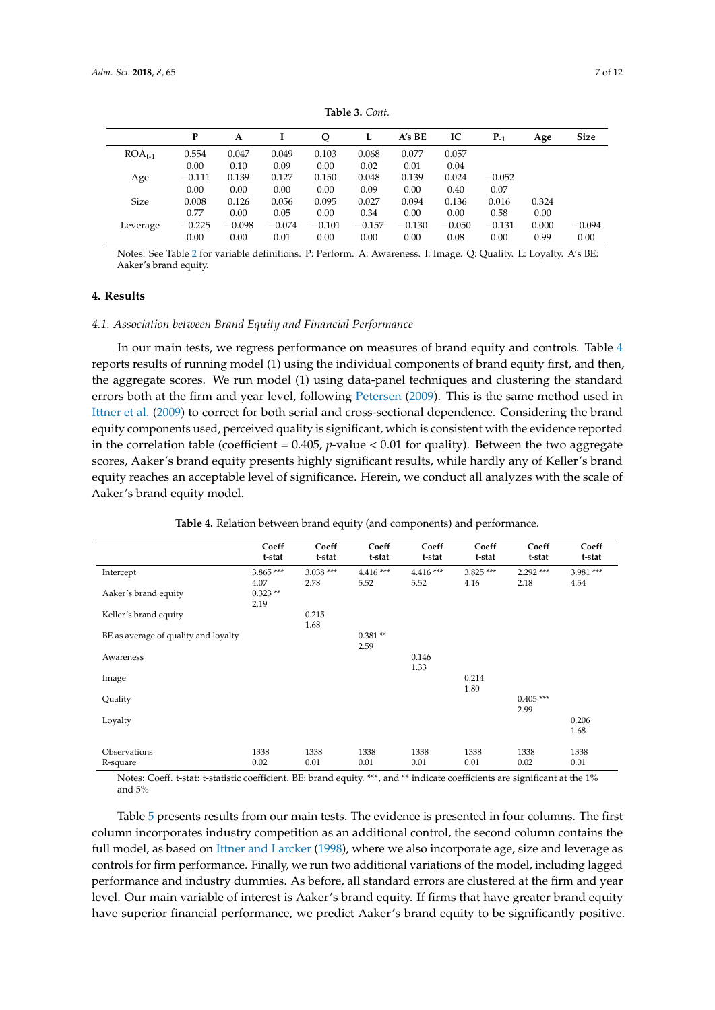<span id="page-6-0"></span>

|             | P        | A        |          | Q        | L        | A's BE   | IC       | $P_{-1}$ | Age   | <b>Size</b> |
|-------------|----------|----------|----------|----------|----------|----------|----------|----------|-------|-------------|
| $ROAt-1$    | 0.554    | 0.047    | 0.049    | 0.103    | 0.068    | 0.077    | 0.057    |          |       |             |
|             | 0.00     | 0.10     | 0.09     | 0.00     | 0.02     | 0.01     | 0.04     |          |       |             |
| Age         | $-0.111$ | 0.139    | 0.127    | 0.150    | 0.048    | 0.139    | 0.024    | $-0.052$ |       |             |
|             | 0.00     | 0.00     | 0.00     | 0.00     | 0.09     | 0.00     | 0.40     | 0.07     |       |             |
| <b>Size</b> | 0.008    | 0.126    | 0.056    | 0.095    | 0.027    | 0.094    | 0.136    | 0.016    | 0.324 |             |
|             | 0.77     | 0.00     | 0.05     | 0.00     | 0.34     | 0.00     | 0.00     | 0.58     | 0.00  |             |
| Leverage    | $-0.225$ | $-0.098$ | $-0.074$ | $-0.101$ | $-0.157$ | $-0.130$ | $-0.050$ | $-0.131$ | 0.000 | $-0.094$    |
|             | 0.00     | 0.00     | 0.01     | 0.00     | 0.00     | 0.00     | 0.08     | 0.00     | 0.99  | 0.00        |

**Table 3.** *Cont.*

Notes: See Table [2](#page-5-0) for variable definitions. P: Perform. A: Awareness. I: Image. Q: Quality. L: Loyalty. A's BE: Aaker's brand equity.

# **4. Results**

#### *4.1. Association between Brand Equity and Financial Performance*

In our main tests, we regress performance on measures of brand equity and controls. Table [4](#page-6-1) reports results of running model (1) using the individual components of brand equity first, and then, the aggregate scores. We run model (1) using data-panel techniques and clustering the standard errors both at the firm and year level, following [Petersen](#page-11-17) [\(2009\)](#page-11-17). This is the same method used in [Ittner et al.](#page-10-6) [\(2009\)](#page-10-6) to correct for both serial and cross-sectional dependence. Considering the brand equity components used, perceived quality is significant, which is consistent with the evidence reported in the correlation table (coefficient = 0.405, *p*-value < 0.01 for quality). Between the two aggregate scores, Aaker's brand equity presents highly significant results, while hardly any of Keller's brand equity reaches an acceptable level of significance. Herein, we conduct all analyzes with the scale of Aaker's brand equity model.

<span id="page-6-1"></span>

|                                      | Coeff<br>t-stat    | Coeff<br>t-stat    | Coeff<br>t-stat    | Coeff<br>t-stat    | Coeff<br>t-stat    | Coeff<br>t-stat     | Coeff<br>t-stat    |
|--------------------------------------|--------------------|--------------------|--------------------|--------------------|--------------------|---------------------|--------------------|
| Intercept                            | $3.865***$<br>4.07 | $3.038***$<br>2.78 | $4.416***$<br>5.52 | $4.416***$<br>5.52 | $3.825***$<br>4.16 | $2.292$ ***<br>2.18 | $3.981***$<br>4.54 |
| Aaker's brand equity                 | $0.323**$<br>2.19  |                    |                    |                    |                    |                     |                    |
| Keller's brand equity                |                    | 0.215<br>1.68      |                    |                    |                    |                     |                    |
| BE as average of quality and loyalty |                    |                    | $0.381**$<br>2.59  |                    |                    |                     |                    |
| Awareness                            |                    |                    |                    | 0.146<br>1.33      |                    |                     |                    |
| Image                                |                    |                    |                    |                    | 0.214<br>1.80      |                     |                    |
| Quality                              |                    |                    |                    |                    |                    | $0.405***$<br>2.99  |                    |
| Loyalty                              |                    |                    |                    |                    |                    |                     | 0.206<br>1.68      |
| Observations<br>R-square             | 1338<br>0.02       | 1338<br>0.01       | 1338<br>0.01       | 1338<br>0.01       | 1338<br>0.01       | 1338<br>0.02        | 1338<br>0.01       |

**Table 4.** Relation between brand equity (and components) and performance.

Notes: Coeff. t-stat: t-statistic coefficient. BE: brand equity. \*\*\*, and \*\* indicate coefficients are significant at the 1% and 5%

Table [5](#page-7-0) presents results from our main tests. The evidence is presented in four columns. The first column incorporates industry competition as an additional control, the second column contains the full model, as based on [Ittner and Larcker](#page-10-12) [\(1998\)](#page-10-12), where we also incorporate age, size and leverage as controls for firm performance. Finally, we run two additional variations of the model, including lagged performance and industry dummies. As before, all standard errors are clustered at the firm and year level. Our main variable of interest is Aaker's brand equity. If firms that have greater brand equity have superior financial performance, we predict Aaker's brand equity to be significantly positive.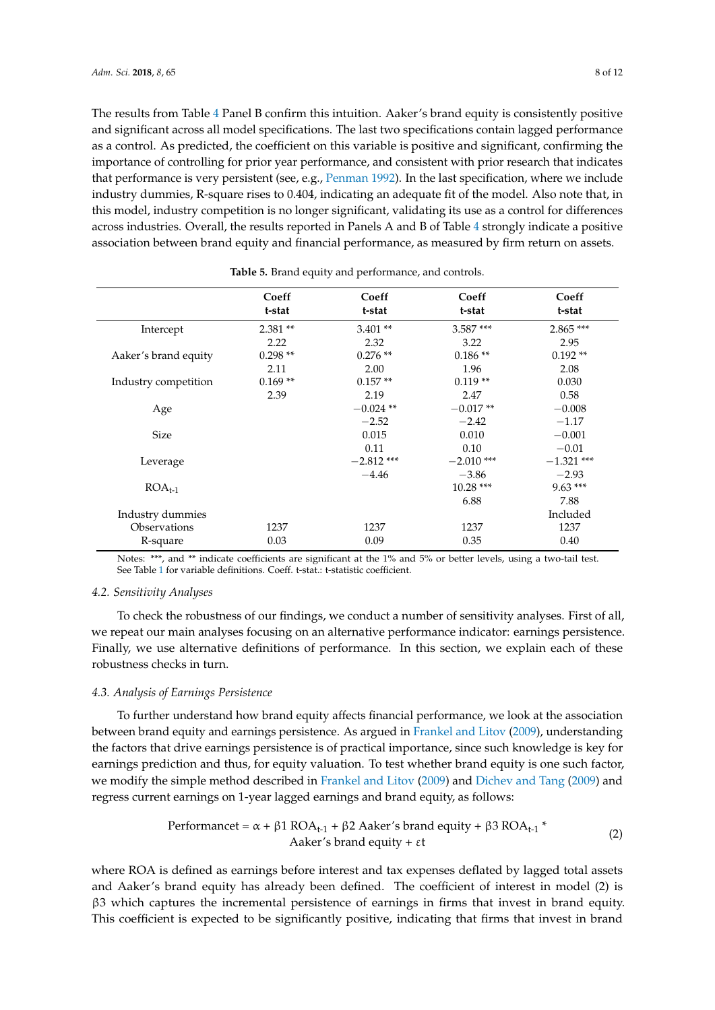The results from Table [4](#page-6-1) Panel B confirm this intuition. Aaker's brand equity is consistently positive and significant across all model specifications. The last two specifications contain lagged performance as a control. As predicted, the coefficient on this variable is positive and significant, confirming the importance of controlling for prior year performance, and consistent with prior research that indicates that performance is very persistent (see, e.g., [Penman](#page-11-18) [1992\)](#page-11-18). In the last specification, where we include industry dummies, R-square rises to 0.404, indicating an adequate fit of the model. Also note that, in this model, industry competition is no longer significant, validating its use as a control for differences across industries. Overall, the results reported in Panels A and B of Table [4](#page-6-1) strongly indicate a positive association between brand equity and financial performance, as measured by firm return on assets.

<span id="page-7-0"></span>

|                      | Coeff<br>t-stat | Coeff<br>t-stat | Coeff<br>t-stat | Coeff<br>t-stat |
|----------------------|-----------------|-----------------|-----------------|-----------------|
| Intercept            | $2.381**$       | $3.401**$       | $3.587***$      | $2.865***$      |
|                      | 2.22            | 2.32            | 3.22            | 2.95            |
| Aaker's brand equity | $0.298**$       | $0.276**$       | $0.186**$       | $0.192**$       |
|                      | 2.11            | 2.00            | 1.96            | 2.08            |
| Industry competition | $0.169**$       | $0.157**$       | $0.119**$       | 0.030           |
|                      | 2.39            | 2.19            | 2.47            | 0.58            |
| Age                  |                 | $-0.024$ **     | $-0.017**$      | $-0.008$        |
|                      |                 | $-2.52$         | $-2.42$         | $-1.17$         |
| <b>Size</b>          |                 | 0.015           | 0.010           | $-0.001$        |
|                      |                 | 0.11            | 0.10            | $-0.01$         |
| Leverage             |                 | $-2.812$ ***    | $-2.010$ ***    | $-1.321$ ***    |
|                      |                 | $-4.46$         | $-3.86$         | $-2.93$         |
| $ROAt-1$             |                 |                 | $10.28$ ***     | $9.63***$       |
|                      |                 |                 | 6.88            | 7.88            |
| Industry dummies     |                 |                 |                 | Included        |
| Observations         | 1237            | 1237            | 1237            | 1237            |
| R-square             | 0.03            | 0.09            | 0.35            | 0.40            |

| Table 5. Brand equity and performance, and controls. |
|------------------------------------------------------|
|------------------------------------------------------|

Notes: \*\*\*, and \*\* indicate coefficients are significant at the 1% and 5% or better levels, using a two-tail test. See Table [1](#page-4-0) for variable definitions. Coeff. t-stat.: t-statistic coefficient.

#### *4.2. Sensitivity Analyses*

To check the robustness of our findings, we conduct a number of sensitivity analyses. First of all, we repeat our main analyses focusing on an alternative performance indicator: earnings persistence. Finally, we use alternative definitions of performance. In this section, we explain each of these robustness checks in turn.

#### *4.3. Analysis of Earnings Persistence*

To further understand how brand equity affects financial performance, we look at the association between brand equity and earnings persistence. As argued in [Frankel and Litov](#page-10-17) [\(2009\)](#page-10-17), understanding the factors that drive earnings persistence is of practical importance, since such knowledge is key for earnings prediction and thus, for equity valuation. To test whether brand equity is one such factor, we modify the simple method described in [Frankel and Litov](#page-10-17) [\(2009\)](#page-10-17) and [Dichev and Tang](#page-10-18) [\(2009\)](#page-10-18) and regress current earnings on 1-year lagged earnings and brand equity, as follows:

Performance
$$
t = \alpha + \beta 1 ROA_{t-1} + \beta 2 Aaker's brand equity + \beta 3 ROA_{t-1}^*
$$
 (2)  
Aaker's brand equity + εt

where ROA is defined as earnings before interest and tax expenses deflated by lagged total assets and Aaker's brand equity has already been defined. The coefficient of interest in model (2) is β3 which captures the incremental persistence of earnings in firms that invest in brand equity. This coefficient is expected to be significantly positive, indicating that firms that invest in brand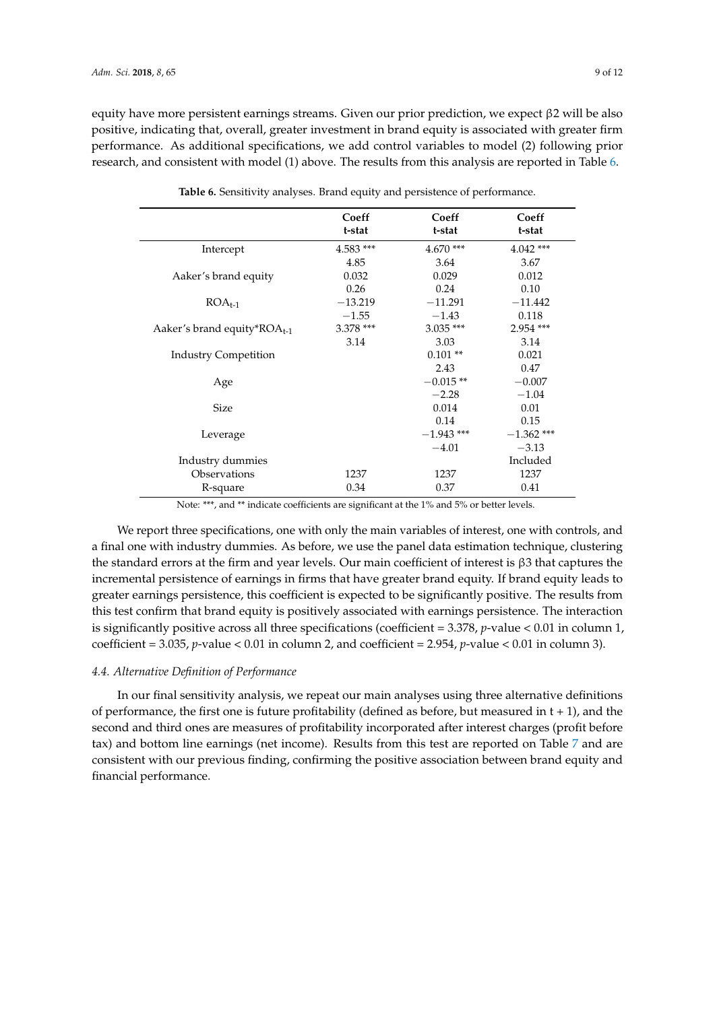equity have more persistent earnings streams. Given our prior prediction, we expect β2 will be also positive, indicating that, overall, greater investment in brand equity is associated with greater firm performance. As additional specifications, we add control variables to model (2) following prior research, and consistent with model (1) above. The results from this analysis are reported in Table [6.](#page-8-0)

<span id="page-8-0"></span>

|                                   | Coeff<br>t-stat | Coeff<br>t-stat | Coeff<br>t-stat |
|-----------------------------------|-----------------|-----------------|-----------------|
| Intercept                         | 4.583 ***       | $4.670$ ***     | $4.042$ ***     |
|                                   | 4.85            | 3.64            | 3.67            |
| Aaker's brand equity              | 0.032           | 0.029           | 0.012           |
|                                   | 0.26            | 0.24            | 0.10            |
| $ROAt-1$                          | $-13.219$       | $-11.291$       | $-11.442$       |
|                                   | $-1.55$         | $-1.43$         | 0.118           |
| Aaker's brand equity* $ROA_{t-1}$ | $3.378$ ***     | $3.035$ ***     | 2.954 ***       |
|                                   | 3.14            | 3.03            | 3.14            |
| <b>Industry Competition</b>       |                 | $0.101**$       | 0.021           |
|                                   |                 | 2.43            | 0.47            |
| Age                               |                 | $-0.015**$      | $-0.007$        |
|                                   |                 | $-2.28$         | $-1.04$         |
| <b>Size</b>                       |                 | 0.014           | 0.01            |
|                                   |                 | 0.14            | 0.15            |
| Leverage                          |                 | $-1.943$ ***    | $-1.362$ ***    |
|                                   |                 | $-4.01$         | $-3.13$         |
| Industry dummies                  |                 |                 | Included        |
| Observations                      | 1237            | 1237            | 1237            |
| R-square                          | 0.34            | 0.37            | 0.41            |

|  |  | <b>Table 6.</b> Sensitivity analyses. Brand equity and persistence of performance. |
|--|--|------------------------------------------------------------------------------------|
|  |  |                                                                                    |

Note: \*\*\*, and \*\* indicate coefficients are significant at the 1% and 5% or better levels.

We report three specifications, one with only the main variables of interest, one with controls, and a final one with industry dummies. As before, we use the panel data estimation technique, clustering the standard errors at the firm and year levels. Our main coefficient of interest is  $β3$  that captures the incremental persistence of earnings in firms that have greater brand equity. If brand equity leads to greater earnings persistence, this coefficient is expected to be significantly positive. The results from this test confirm that brand equity is positively associated with earnings persistence. The interaction is significantly positive across all three specifications (coefficient = 3.378, *p*-value < 0.01 in column 1, coefficient = 3.035, *p*-value < 0.01 in column 2, and coefficient = 2.954, *p*-value < 0.01 in column 3).

## *4.4. Alternative Definition of Performance*

In our final sensitivity analysis, we repeat our main analyses using three alternative definitions of performance, the first one is future profitability (defined as before, but measured in  $t + 1$ ), and the second and third ones are measures of profitability incorporated after interest charges (profit before tax) and bottom line earnings (net income). Results from this test are reported on Table [7](#page-9-0) and are consistent with our previous finding, confirming the positive association between brand equity and financial performance.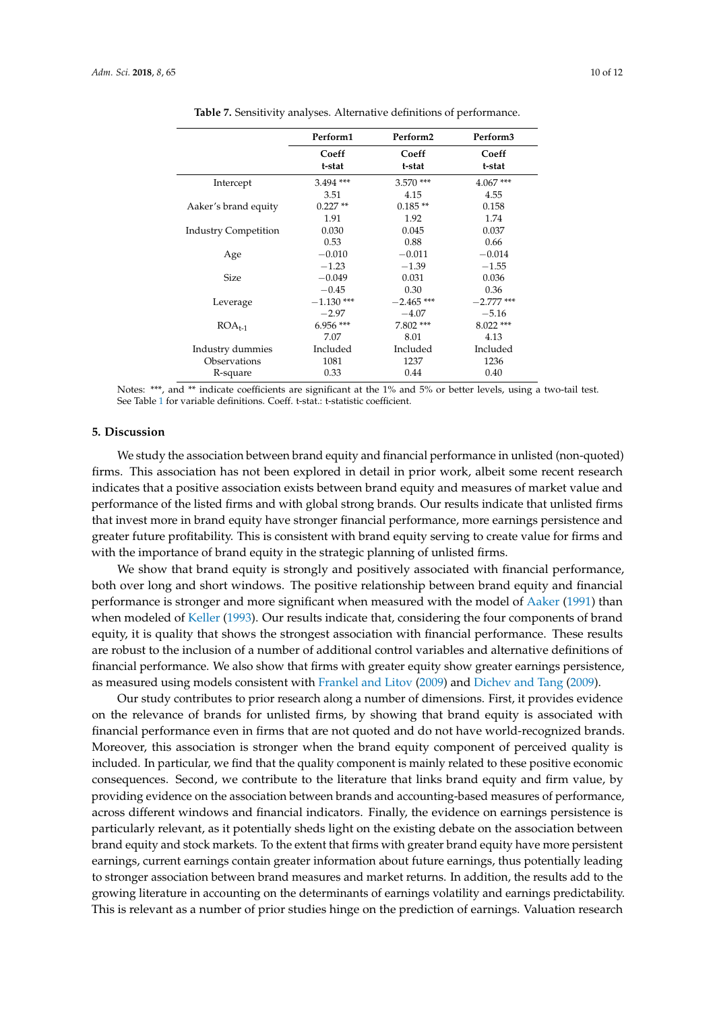<span id="page-9-0"></span>

|                             | Perform1        | Perform2        | Perform3        |
|-----------------------------|-----------------|-----------------|-----------------|
|                             | Coeff<br>t-stat | Coeff<br>t-stat | Coeff<br>t-stat |
| Intercept                   | $3.494$ ***     | 3.570 ***       | $4.067***$      |
|                             | 3.51            | 4.15            | 4.55            |
| Aaker's brand equity        | $0.227**$       | $0.185**$       | 0.158           |
|                             | 1.91            | 1.92            | 1.74            |
| <b>Industry Competition</b> | 0.030           | 0.045           | 0.037           |
|                             | 0.53            | 0.88            | 0.66            |
| Age                         | $-0.010$        | $-0.011$        | $-0.014$        |
|                             | $-1.23$         | $-1.39$         | $-1.55$         |
| <b>Size</b>                 | $-0.049$        | 0.031           | 0.036           |
|                             | $-0.45$         | 0.30            | 0.36            |
| Leverage                    | $-1.130$ ***    | $-2.465$ ***    | $-2.777$ ***    |
|                             | $-2.97$         | $-4.07$         | $-5.16$         |
| $ROAt-1$                    | $6.956***$      | 7.802 ***       | $8.022$ ***     |
|                             | 7.07            | 8.01            | 4.13            |
| Industry dummies            | Included        | Included        | Included        |
| Observations                | 1081            | 1237            | 1236            |
| R-square                    | 0.33            | 0.44            | 0.40            |

**Table 7.** Sensitivity analyses. Alternative definitions of performance.

Notes: \*\*\*, and \*\* indicate coefficients are significant at the 1% and  $\overline{5\%}$  or better levels, using a two-tail test. See Table [1](#page-4-0) for variable definitions. Coeff. t-stat.: t-statistic coefficient.

## **5. Discussion**

We study the association between brand equity and financial performance in unlisted (non-quoted) firms. This association has not been explored in detail in prior work, albeit some recent research indicates that a positive association exists between brand equity and measures of market value and performance of the listed firms and with global strong brands. Our results indicate that unlisted firms that invest more in brand equity have stronger financial performance, more earnings persistence and greater future profitability. This is consistent with brand equity serving to create value for firms and with the importance of brand equity in the strategic planning of unlisted firms.

We show that brand equity is strongly and positively associated with financial performance, both over long and short windows. The positive relationship between brand equity and financial performance is stronger and more significant when measured with the model of [Aaker](#page-10-1) [\(1991\)](#page-10-1) than when modeled of [Keller](#page-10-2) [\(1993\)](#page-10-2). Our results indicate that, considering the four components of brand equity, it is quality that shows the strongest association with financial performance. These results are robust to the inclusion of a number of additional control variables and alternative definitions of financial performance. We also show that firms with greater equity show greater earnings persistence, as measured using models consistent with [Frankel and Litov](#page-10-17) [\(2009\)](#page-10-17) and [Dichev and Tang](#page-10-18) [\(2009\)](#page-10-18).

Our study contributes to prior research along a number of dimensions. First, it provides evidence on the relevance of brands for unlisted firms, by showing that brand equity is associated with financial performance even in firms that are not quoted and do not have world-recognized brands. Moreover, this association is stronger when the brand equity component of perceived quality is included. In particular, we find that the quality component is mainly related to these positive economic consequences. Second, we contribute to the literature that links brand equity and firm value, by providing evidence on the association between brands and accounting-based measures of performance, across different windows and financial indicators. Finally, the evidence on earnings persistence is particularly relevant, as it potentially sheds light on the existing debate on the association between brand equity and stock markets. To the extent that firms with greater brand equity have more persistent earnings, current earnings contain greater information about future earnings, thus potentially leading to stronger association between brand measures and market returns. In addition, the results add to the growing literature in accounting on the determinants of earnings volatility and earnings predictability. This is relevant as a number of prior studies hinge on the prediction of earnings. Valuation research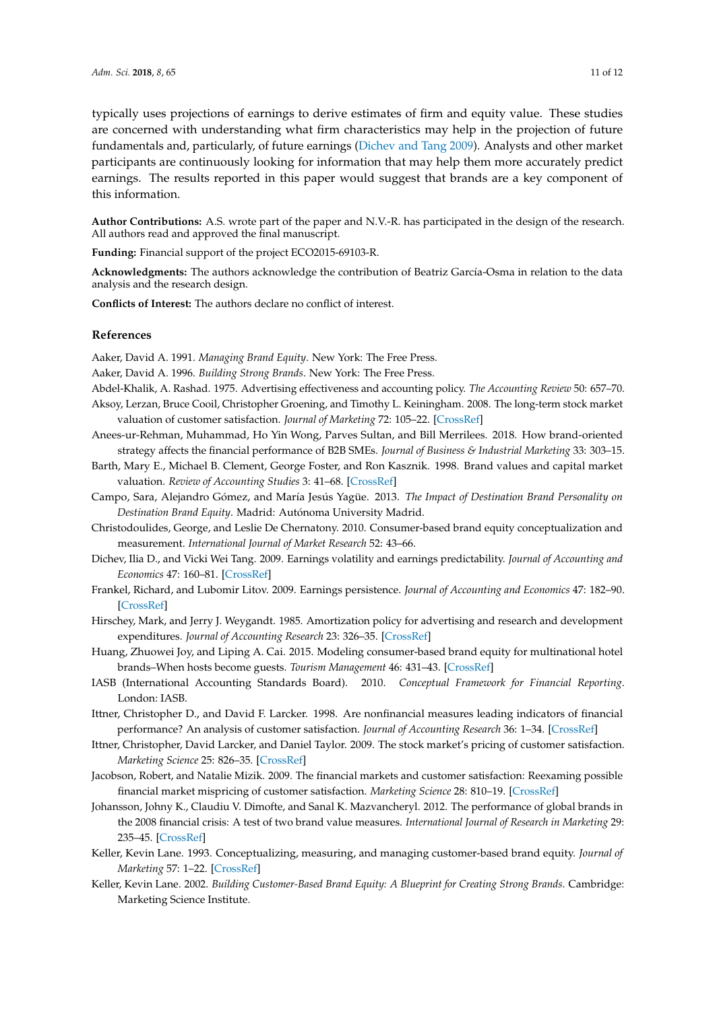typically uses projections of earnings to derive estimates of firm and equity value. These studies are concerned with understanding what firm characteristics may help in the projection of future fundamentals and, particularly, of future earnings [\(Dichev and Tang](#page-10-18) [2009\)](#page-10-18). Analysts and other market participants are continuously looking for information that may help them more accurately predict earnings. The results reported in this paper would suggest that brands are a key component of this information.

**Author Contributions:** A.S. wrote part of the paper and N.V.-R. has participated in the design of the research. All authors read and approved the final manuscript.

**Funding:** Financial support of the project ECO2015-69103-R.

**Acknowledgments:** The authors acknowledge the contribution of Beatriz García-Osma in relation to the data analysis and the research design.

**Conflicts of Interest:** The authors declare no conflict of interest.

# **References**

<span id="page-10-1"></span>Aaker, David A. 1991. *Managing Brand Equity*. New York: The Free Press.

<span id="page-10-15"></span>Aaker, David A. 1996. *Building Strong Brands*. New York: The Free Press.

- <span id="page-10-13"></span>Abdel-Khalik, A. Rashad. 1975. Advertising effectiveness and accounting policy. *The Accounting Review* 50: 657–70.
- <span id="page-10-9"></span>Aksoy, Lerzan, Bruce Cooil, Christopher Groening, and Timothy L. Keiningham. 2008. The long-term stock market valuation of customer satisfaction. *Journal of Marketing* 72: 105–22. [\[CrossRef\]](http://dx.doi.org/10.1509/jmkg.72.4.105)
- <span id="page-10-7"></span>Anees-ur-Rehman, Muhammad, Ho Yin Wong, Parves Sultan, and Bill Merrilees. 2018. How brand-oriented strategy affects the financial performance of B2B SMEs. *Journal of Business & Industrial Marketing* 33: 303–15.
- <span id="page-10-8"></span>Barth, Mary E., Michael B. Clement, George Foster, and Ron Kasznik. 1998. Brand values and capital market valuation. *Review of Accounting Studies* 3: 41–68. [\[CrossRef\]](http://dx.doi.org/10.1023/A:1009620132177)
- <span id="page-10-16"></span>Campo, Sara, Alejandro Gómez, and María Jesús Yagüe. 2013. *The Impact of Destination Brand Personality on Destination Brand Equity*. Madrid: Autónoma University Madrid.
- <span id="page-10-0"></span>Christodoulides, George, and Leslie De Chernatony. 2010. Consumer-based brand equity conceptualization and measurement. *International Journal of Market Research* 52: 43–66.
- <span id="page-10-18"></span>Dichev, Ilia D., and Vicki Wei Tang. 2009. Earnings volatility and earnings predictability. *Journal of Accounting and Economics* 47: 160–81. [\[CrossRef\]](http://dx.doi.org/10.1016/j.jacceco.2008.09.005)
- <span id="page-10-17"></span>Frankel, Richard, and Lubomir Litov. 2009. Earnings persistence. *Journal of Accounting and Economics* 47: 182–90. [\[CrossRef\]](http://dx.doi.org/10.1016/j.jacceco.2008.11.008)
- <span id="page-10-14"></span>Hirschey, Mark, and Jerry J. Weygandt. 1985. Amortization policy for advertising and research and development expenditures. *Journal of Accounting Research* 23: 326–35. [\[CrossRef\]](http://dx.doi.org/10.2307/2490921)
- <span id="page-10-3"></span>Huang, Zhuowei Joy, and Liping A. Cai. 2015. Modeling consumer-based brand equity for multinational hotel brands–When hosts become guests. *Tourism Management* 46: 431–43. [\[CrossRef\]](http://dx.doi.org/10.1016/j.tourman.2014.07.013)
- <span id="page-10-11"></span>IASB (International Accounting Standards Board). 2010. *Conceptual Framework for Financial Reporting*. London: IASB.
- <span id="page-10-12"></span>Ittner, Christopher D., and David F. Larcker. 1998. Are nonfinancial measures leading indicators of financial performance? An analysis of customer satisfaction. *Journal of Accounting Research* 36: 1–34. [\[CrossRef\]](http://dx.doi.org/10.2307/2491304)
- <span id="page-10-6"></span>Ittner, Christopher, David Larcker, and Daniel Taylor. 2009. The stock market's pricing of customer satisfaction. *Marketing Science* 25: 826–35. [\[CrossRef\]](http://dx.doi.org/10.1287/mksc.1090.0526)
- <span id="page-10-10"></span>Jacobson, Robert, and Natalie Mizik. 2009. The financial markets and customer satisfaction: Reexaming possible financial market mispricing of customer satisfaction. *Marketing Science* 28: 810–19. [\[CrossRef\]](http://dx.doi.org/10.1287/mksc.1090.0495)
- <span id="page-10-5"></span>Johansson, Johny K., Claudiu V. Dimofte, and Sanal K. Mazvancheryl. 2012. The performance of global brands in the 2008 financial crisis: A test of two brand value measures. *International Journal of Research in Marketing* 29: 235–45. [\[CrossRef\]](http://dx.doi.org/10.1016/j.ijresmar.2012.01.002)
- <span id="page-10-2"></span>Keller, Kevin Lane. 1993. Conceptualizing, measuring, and managing customer-based brand equity. *Journal of Marketing* 57: 1–22. [\[CrossRef\]](http://dx.doi.org/10.2307/1252054)
- <span id="page-10-4"></span>Keller, Kevin Lane. 2002. *Building Customer-Based Brand Equity: A Blueprint for Creating Strong Brands*. Cambridge: Marketing Science Institute.